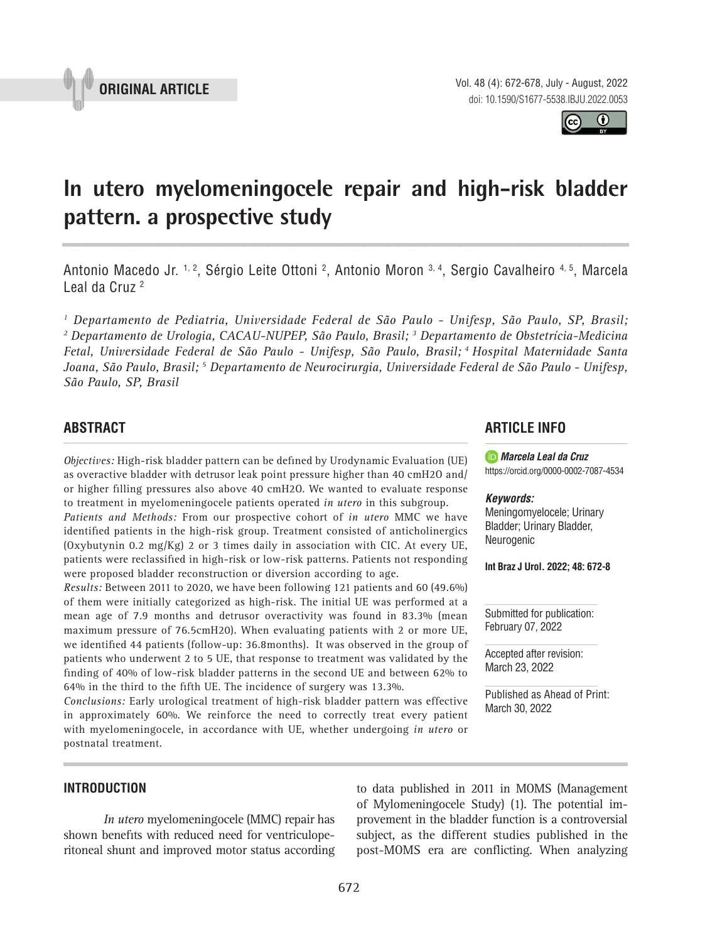



# **In utero myelomeningocele repair and high-risk bladder pattern. a prospective study \_\_\_\_\_\_\_\_\_\_\_\_\_\_\_\_\_\_\_\_\_\_\_\_\_\_\_\_\_\_\_\_\_\_\_\_\_\_\_\_\_\_\_\_\_\_\_**

Antonio Macedo Jr. <sup>1, 2</sup>, Sérgio Leite Ottoni <sup>2</sup>, Antonio Moron <sup>3, 4</sup>, Sergio Cavalheiro <sup>4, 5</sup>, Marcela Leal da Cruz 2

*1 Departamento de Pediatria, Universidade Federal de São Paulo - Unifesp, São Paulo, SP, Brasil; 2 Departamento de Urologia, CACAU-NUPEP, São Paulo, Brasil; 3 Departamento de Obstetrícia-Medicina Fetal, Universidade Federal de São Paulo - Unifesp, São Paulo, Brasil; 4 Hospital Maternidade Santa Joana, São Paulo, Brasil; 5 Departamento de Neurocirurgia, Universidade Federal de São Paulo - Unifesp, São Paulo, SP, Brasil*

# **ABSTRACT**

*Objectives:* High-risk bladder pattern can be defined by Urodynamic Evaluation (UE) as overactive bladder with detrusor leak point pressure higher than 40 cmH2O and/ or higher filling pressures also above 40  $cmH20$ . We wanted to evaluate response to treatment in myelomeningocele patients operated *in utero* in this subgroup.

*Patients and Methods:* From our prospective cohort of *in utero* MMC we have identified patients in the high-risk group. Treatment consisted of anticholinergics (Oxybutynin 0.2 mg/Kg) 2 or 3 times daily in association with CIC. At every UE, patients were reclassified in high-risk or low-risk patterns. Patients not responding were proposed bladder reconstruction or diversion according to age.

*Results:* Between 2011 to 2020, we have been following 121 patients and 60 (49.6%) of them were initially categorized as high-risk. The initial UE was performed at a mean age of 7.9 months and detrusor overactivity was found in 83.3% (mean maximum pressure of 76.5cmH20). When evaluating patients with 2 or more UE, we identified 44 patients (follow-up: 36.8months). It was observed in the group of patients who underwent 2 to 5 UE, that response to treatment was validated by the finding of 40% of low-risk bladder patterns in the second UE and between 62% to 64% in the third to the fifth UE. The incidence of surgery was 13.3%.

*Conclusions:* Early urological treatment of high-risk bladder pattern was effective in approximately 60%. We reinforce the need to correctly treat every patient with myelomeningocele, in accordance with UE, whether undergoing *in utero* or postnatal treatment.

# **ARTICLE INFO**

*Marcela Leal da Cruz* https://orcid.org/0000-0002-7087-4534

#### *Keywords:*

Meningomyelocele; Urinary Bladder; Urinary Bladder, Neurogenic

**Int Braz J Urol. 2022; 48: 672-8**

Submitted for publication: February 07, 2022

Accepted after revision: March 23, 2022

Published as Ahead of Print: March 30, 2022

#### **INTRODUCTION**

*In utero* myelomeningocele (MMC) repair has shown benefits with reduced need for ventriculoperitoneal shunt and improved motor status according

to data published in 2011 in MOMS (Management of Mylomeningocele Study) (1). The potential improvement in the bladder function is a controversial subject, as the different studies published in the post-MOMS era are conflicting. When analyzing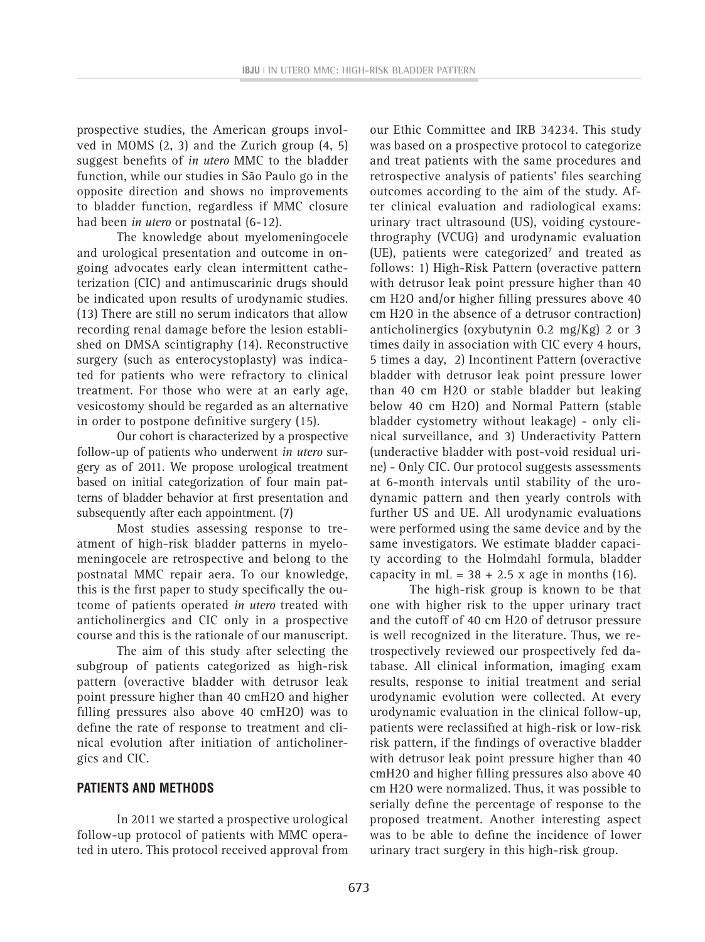prospective studies, the American groups involved in MOMS (2, 3) and the Zurich group (4, 5) suggest benefits of *in utero* MMC to the bladder function, while our studies in São Paulo go in the opposite direction and shows no improvements to bladder function, regardless if MMC closure had been *in utero* or postnatal (6-12).

The knowledge about myelomeningocele and urological presentation and outcome in ongoing advocates early clean intermittent catheterization (CIC) and antimuscarinic drugs should be indicated upon results of urodynamic studies. (13) There are still no serum indicators that allow recording renal damage before the lesion established on DMSA scintigraphy (14). Reconstructive surgery (such as enterocystoplasty) was indicated for patients who were refractory to clinical treatment. For those who were at an early age, vesicostomy should be regarded as an alternative in order to postpone definitive surgery (15).

Our cohort is characterized by a prospective follow-up of patients who underwent *in utero* surgery as of 2011. We propose urological treatment based on initial categorization of four main patterns of bladder behavior at first presentation and subsequently after each appointment. (7)

Most studies assessing response to treatment of high-risk bladder patterns in myelomeningocele are retrospective and belong to the postnatal MMC repair aera. To our knowledge, this is the first paper to study specifically the outcome of patients operated *in utero* treated with anticholinergics and CIC only in a prospective course and this is the rationale of our manuscript.

The aim of this study after selecting the subgroup of patients categorized as high-risk pattern (overactive bladder with detrusor leak point pressure higher than 40 cmH2O and higher filling pressures also above 40 cmH2O) was to define the rate of response to treatment and clinical evolution after initiation of anticholinergics and CIC.

# **PATIENTS AND METHODS**

In 2011 we started a prospective urological follow-up protocol of patients with MMC operated in utero. This protocol received approval from

our Ethic Committee and IRB 34234. This study was based on a prospective protocol to categorize and treat patients with the same procedures and retrospective analysis of patients' files searching outcomes according to the aim of the study. After clinical evaluation and radiological exams: urinary tract ultrasound (US), voiding cystourethrography (VCUG) and urodynamic evaluation (UE), patients were categorized<sup> $7$ </sup> and treated as follows: 1) High-Risk Pattern (overactive pattern with detrusor leak point pressure higher than 40 cm H2O and/or higher filling pressures above 40 cm H2O in the absence of a detrusor contraction) anticholinergics (oxybutynin 0.2 mg/Kg) 2 or 3 times daily in association with CIC every 4 hours, 5 times a day, 2) Incontinent Pattern (overactive bladder with detrusor leak point pressure lower than 40 cm H2O or stable bladder but leaking below 40 cm H2O) and Normal Pattern (stable bladder cystometry without leakage) - only clinical surveillance, and 3) Underactivity Pattern (underactive bladder with post-void residual urine) - Only CIC. Our protocol suggests assessments at 6-month intervals until stability of the urodynamic pattern and then yearly controls with further US and UE. All urodynamic evaluations were performed using the same device and by the same investigators. We estimate bladder capacity according to the Holmdahl formula, bladder capacity in  $mL = 38 + 2.5$  x age in months (16).

The high-risk group is known to be that one with higher risk to the upper urinary tract and the cutoff of 40 cm H20 of detrusor pressure is well recognized in the literature. Thus, we retrospectively reviewed our prospectively fed database. All clinical information, imaging exam results, response to initial treatment and serial urodynamic evolution were collected. At every urodynamic evaluation in the clinical follow-up, patients were reclassified at high-risk or low-risk risk pattern, if the findings of overactive bladder with detrusor leak point pressure higher than 40 cmH2O and higher filling pressures also above 40 cm H2O were normalized. Thus, it was possible to serially define the percentage of response to the proposed treatment. Another interesting aspect was to be able to define the incidence of lower urinary tract surgery in this high-risk group.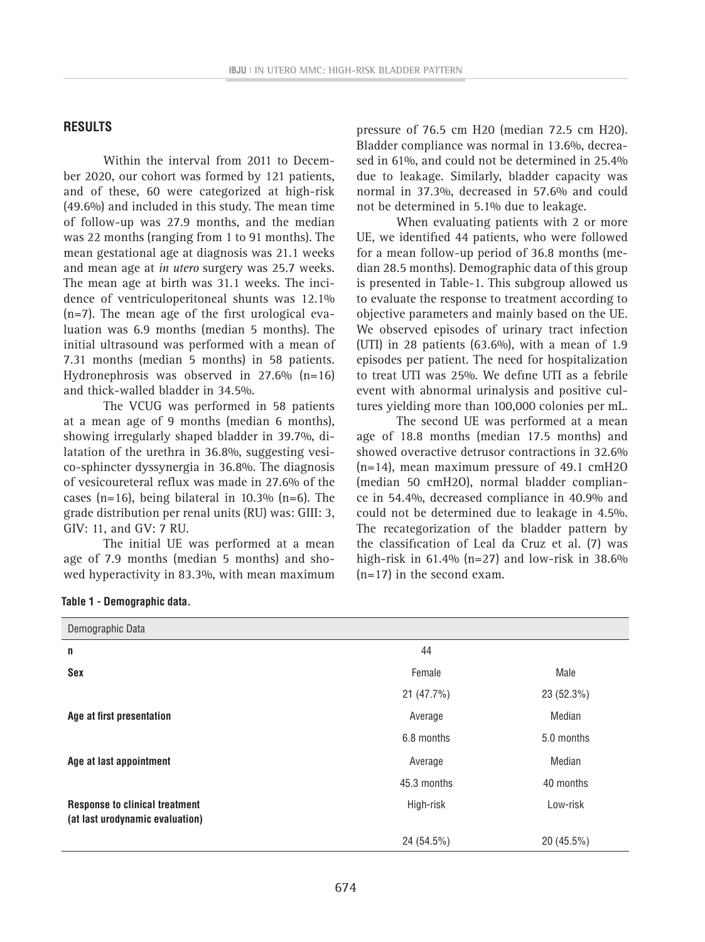### **RESULTS**

Within the interval from 2011 to December 2020, our cohort was formed by 121 patients, and of these, 60 were categorized at high-risk (49.6%) and included in this study. The mean time of follow-up was 27.9 months, and the median was 22 months (ranging from 1 to 91 months). The mean gestational age at diagnosis was 21.1 weeks and mean age at *in utero* surgery was 25.7 weeks. The mean age at birth was 31.1 weeks. The incidence of ventriculoperitoneal shunts was 12.1% (n=7). The mean age of the first urological evaluation was 6.9 months (median 5 months). The initial ultrasound was performed with a mean of 7.31 months (median 5 months) in 58 patients. Hydronephrosis was observed in  $27.6\%$  (n=16) and thick-walled bladder in 34.5%.

The VCUG was performed in 58 patients at a mean age of 9 months (median 6 months), showing irregularly shaped bladder in 39.7%, dilatation of the urethra in 36.8%, suggesting vesico-sphincter dyssynergia in 36.8%. The diagnosis of vesicoureteral reflux was made in 27.6% of the cases (n=16), being bilateral in  $10.3\%$  (n=6). The grade distribution per renal units (RU) was: GIII: 3, GIV: 11, and GV: 7 RU.

The initial UE was performed at a mean age of 7.9 months (median 5 months) and showed hyperactivity in 83.3%, with mean maximum

pressure of 76.5 cm H20 (median 72.5 cm H20). Bladder compliance was normal in 13.6%, decreased in 61%, and could not be determined in 25.4% due to leakage. Similarly, bladder capacity was normal in 37.3%, decreased in 57.6% and could not be determined in 5.1% due to leakage.

When evaluating patients with 2 or more UE, we identified 44 patients, who were followed for a mean follow-up period of 36.8 months (median 28.5 months). Demographic data of this group is presented in Table-1. This subgroup allowed us to evaluate the response to treatment according to objective parameters and mainly based on the UE. We observed episodes of urinary tract infection (UTI) in 28 patients (63.6%), with a mean of 1.9 episodes per patient. The need for hospitalization to treat UTI was 25%. We define UTI as a febrile event with abnormal urinalysis and positive cultures yielding more than 100,000 colonies per mL.

The second UE was performed at a mean age of 18.8 months (median 17.5 months) and showed overactive detrusor contractions in 32.6% (n=14), mean maximum pressure of 49.1 cmH2O (median 50 cmH2O), normal bladder compliance in 54.4%, decreased compliance in 40.9% and could not be determined due to leakage in 4.5%. The recategorization of the bladder pattern by the classification of Leal da Cruz et al. (7) was high-risk in  $61.4\%$  (n=27) and low-risk in 38.6% (n=17) in the second exam.

| Demographic Data                                                         |             |              |
|--------------------------------------------------------------------------|-------------|--------------|
| n                                                                        | 44          |              |
| Sex                                                                      | Female      | Male         |
|                                                                          | 21(47.7%)   | 23 (52.3%)   |
| Age at first presentation                                                | Average     | Median       |
|                                                                          | 6.8 months  | 5.0 months   |
| Age at last appointment                                                  | Average     | Median       |
|                                                                          | 45.3 months | 40 months    |
| <b>Response to clinical treatment</b><br>(at last urodynamic evaluation) | High-risk   | Low-risk     |
|                                                                          | 24 (54.5%)  | $20(45.5\%)$ |

|  |  | Table 1 - Demographic data. |  |  |
|--|--|-----------------------------|--|--|
|--|--|-----------------------------|--|--|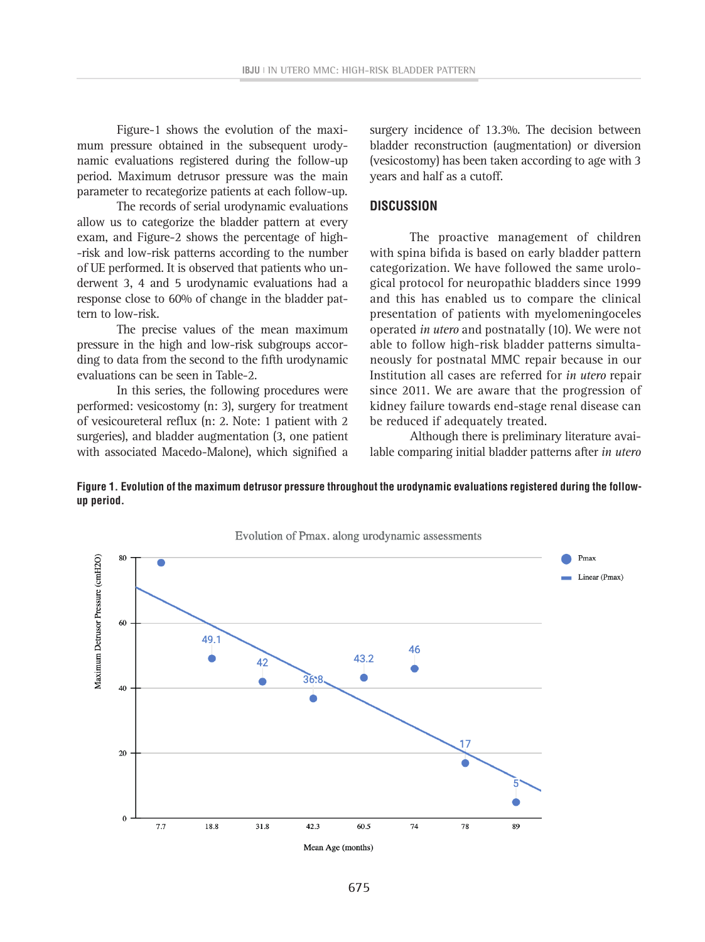Figure-1 shows the evolution of the maximum pressure obtained in the subsequent urodynamic evaluations registered during the follow-up period. Maximum detrusor pressure was the main parameter to recategorize patients at each follow-up.

The records of serial urodynamic evaluations allow us to categorize the bladder pattern at every exam, and Figure-2 shows the percentage of high- -risk and low-risk patterns according to the number of UE performed. It is observed that patients who underwent 3, 4 and 5 urodynamic evaluations had a response close to 60% of change in the bladder pattern to low-risk.

The precise values of the mean maximum pressure in the high and low-risk subgroups according to data from the second to the fifth urodynamic evaluations can be seen in Table-2.

In this series, the following procedures were performed: vesicostomy (n: 3), surgery for treatment performed. vesicosionly (ii. 5), surgery for treatment the kidincy rantifer towards end-stage reflaments are deter surgeries), and bladder augmentation (3, one patient with associated Macedo-Malone), which signified a lable

surgery incidence of 13.3%. The decision between bladder reconstruction (augmentation) or diversion (vesicostomy) has been taken according to age with 3 years and half as a cutoff.

#### **DISCUSSION**

The proactive management of children with spina bifida is based on early bladder pattern categorization. We have followed the same urological protocol for neuropathic bladders since 1999 and this has enabled us to compare the clinical presentation of patients with myelomeningoceles operated *in utero* and postnatally (10). We were not able to follow high-risk bladder patterns simultaneously for postnatal MMC repair because in our Institution all cases are referred for *in utero* repair since 2011. We are aware that the progression of kidney failure towards end-stage renal disease can be reduced if adequately treated.

Although there is preliminary literature available comparing initial bladder patterns after *in utero* 



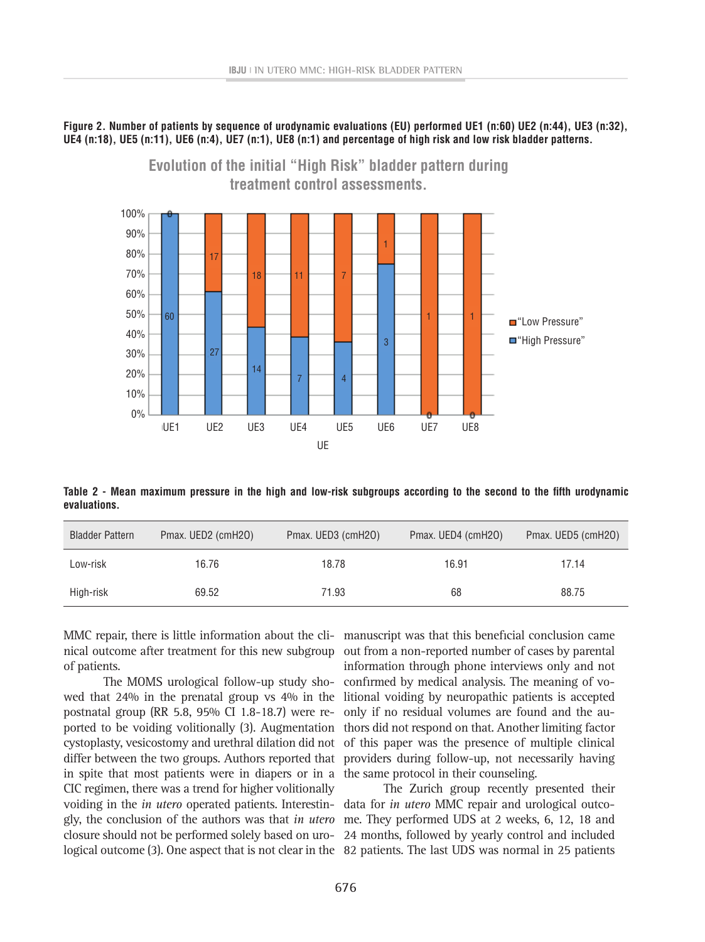**Figure 2. Number of patients by sequence of urodynamic evaluations (EU) performed UE1 (n:60) UE2 (n:44), UE3 (n:32), UE4 (n:18), UE5 (n:11), UE6 (n:4), UE7 (n:1), UE8 (n:1) and percentage of high risk and low risk bladder patterns.** 



Table 2 - Mean maximum pressure in the high and low-risk subgroups according to the second to the fifth urodynamic **evaluations.**

| <b>Bladder Pattern</b> | Pmax. UED2 (cmH20) | Pmax. UED3 (cmH20) | Pmax. UED4 (cmH20) | Pmax. UED5 (cmH20) |
|------------------------|--------------------|--------------------|--------------------|--------------------|
| Low-risk               | 16.76              | 18.78              | 16.91              | 17.14              |
| High-risk              | 69.52              | 71.93              | 68                 | 88.75              |

MMC repair, there is little information about the cli- manuscript was that this beneficial conclusion came of patients.

The MOMS urological follow-up study showed that 24% in the prenatal group vs 4% in the postnatal group (RR 5.8, 95% CI 1.8-18.7) were reported to be voiding volitionally (3). Augmentation cystoplasty, vesicostomy and urethral dilation did not of this paper was the presence of multiple clinical differ between the two groups. Authors reported that providers during follow-up, not necessarily having in spite that most patients were in diapers or in a the same protocol in their counseling. CIC regimen, there was a trend for higher volitionally voiding in the *in utero* operated patients. Interestin-data for *in utero* MMC repair and urological outcogly, the conclusion of the authors was that *in utero*  me. They performed UDS at 2 weeks, 6, 12, 18 and closure should not be performed solely based on uro-24 months, followed by yearly control and included logical outcome (3). One aspect that is not clear in the 82 patients. The last UDS was normal in 25 patients

nical outcome after treatment for this new subgroup out from a non-reported number of cases by parental information through phone interviews only and not confirmed by medical analysis. The meaning of volitional voiding by neuropathic patients is accepted only if no residual volumes are found and the authors did not respond on that. Another limiting factor

The Zurich group recently presented their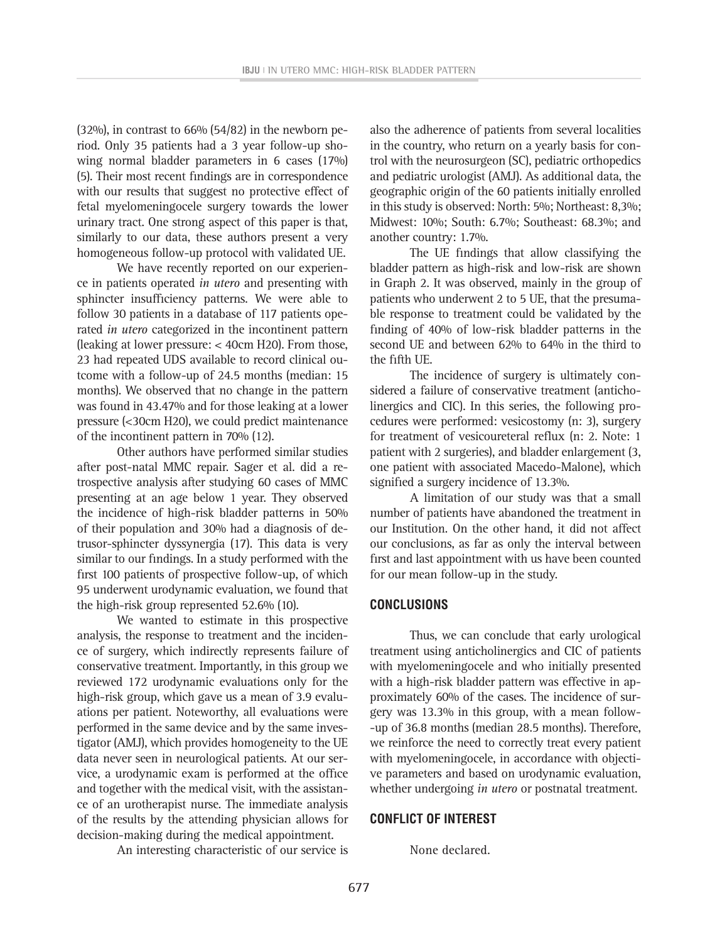$(32\%)$ , in contrast to 66%  $(54/82)$  in the newborn period. Only 35 patients had a 3 year follow-up showing normal bladder parameters in 6 cases (17%) (5). Their most recent findings are in correspondence with our results that suggest no protective effect of fetal myelomeningocele surgery towards the lower urinary tract. One strong aspect of this paper is that, similarly to our data, these authors present a very homogeneous follow-up protocol with validated UE.

We have recently reported on our experience in patients operated *in utero* and presenting with sphincter insufficiency patterns. We were able to follow 30 patients in a database of 117 patients operated *in utero* categorized in the incontinent pattern (leaking at lower pressure: < 40cm H20). From those, 23 had repeated UDS available to record clinical outcome with a follow-up of 24.5 months (median: 15 months). We observed that no change in the pattern was found in 43.47% and for those leaking at a lower pressure (<30cm H20), we could predict maintenance of the incontinent pattern in 70% (12).

Other authors have performed similar studies after post-natal MMC repair. Sager et al. did a retrospective analysis after studying 60 cases of MMC presenting at an age below 1 year. They observed the incidence of high-risk bladder patterns in 50% of their population and 30% had a diagnosis of detrusor-sphincter dyssynergia (17). This data is very similar to our findings. In a study performed with the first 100 patients of prospective follow-up, of which 95 underwent urodynamic evaluation, we found that the high-risk group represented 52.6% (10).

We wanted to estimate in this prospective analysis, the response to treatment and the incidence of surgery, which indirectly represents failure of conservative treatment. Importantly, in this group we reviewed 172 urodynamic evaluations only for the high-risk group, which gave us a mean of 3.9 evaluations per patient. Noteworthy, all evaluations were performed in the same device and by the same investigator (AMJ), which provides homogeneity to the UE data never seen in neurological patients. At our service, a urodynamic exam is performed at the office and together with the medical visit, with the assistance of an urotherapist nurse. The immediate analysis of the results by the attending physician allows for decision-making during the medical appointment.

An interesting characteristic of our service is

also the adherence of patients from several localities in the country, who return on a yearly basis for control with the neurosurgeon (SC), pediatric orthopedics and pediatric urologist (AMJ). As additional data, the geographic origin of the 60 patients initially enrolled in this study is observed: North: 5%; Northeast: 8,3%; Midwest: 10%; South: 6.7%; Southeast: 68.3%; and another country: 1.7%.

The UE findings that allow classifying the bladder pattern as high-risk and low-risk are shown in Graph 2. It was observed, mainly in the group of patients who underwent 2 to 5 UE, that the presumable response to treatment could be validated by the finding of 40% of low-risk bladder patterns in the second UE and between 62% to 64% in the third to the fifth UE.

The incidence of surgery is ultimately considered a failure of conservative treatment (anticholinergics and CIC). In this series, the following procedures were performed: vesicostomy (n: 3), surgery for treatment of vesicoureteral reflux (n: 2. Note: 1 patient with 2 surgeries), and bladder enlargement (3, one patient with associated Macedo-Malone), which signified a surgery incidence of 13.3%.

A limitation of our study was that a small number of patients have abandoned the treatment in our Institution. On the other hand, it did not affect our conclusions, as far as only the interval between first and last appointment with us have been counted for our mean follow-up in the study.

#### **CONCLUSIONS**

Thus, we can conclude that early urological treatment using anticholinergics and CIC of patients with myelomeningocele and who initially presented with a high-risk bladder pattern was effective in approximately 60% of the cases. The incidence of surgery was 13.3% in this group, with a mean follow- -up of 36.8 months (median 28.5 months). Therefore, we reinforce the need to correctly treat every patient with myelomeningocele, in accordance with objective parameters and based on urodynamic evaluation, whether undergoing *in utero* or postnatal treatment.

#### **CONFLICT OF INTEREST**

None declared.